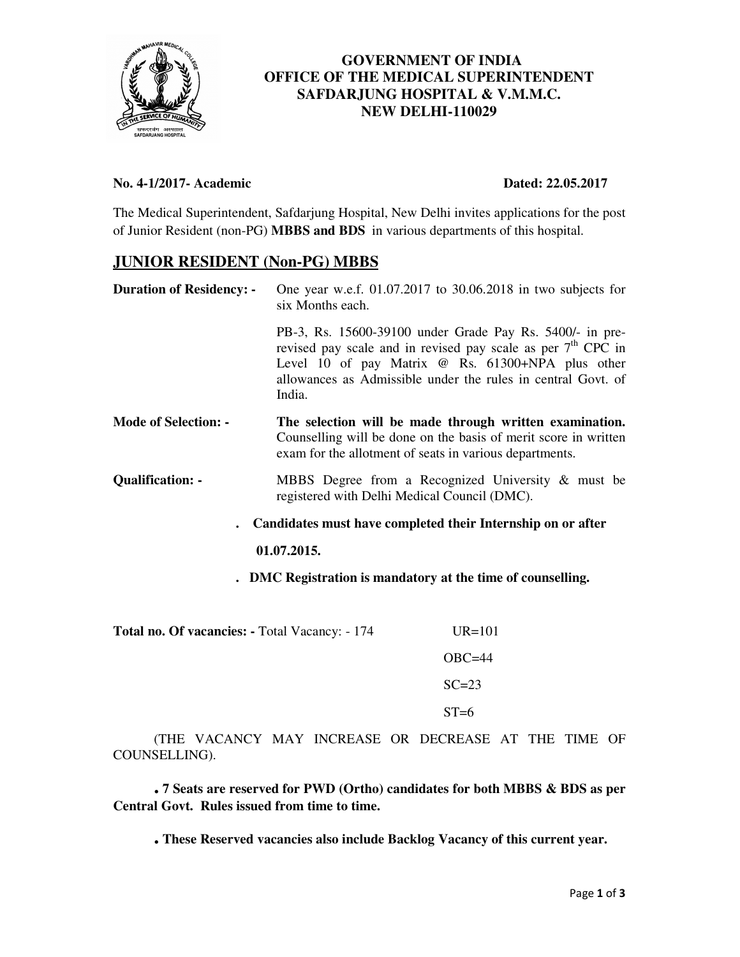

# **GOVERNMENT OF INDIA OFFICE OF THE MEDICAL SUPERINTENDENT SAFDARJUNG HOSPITAL & V.M.M.C. NEW DELHI-110029**

### **No. 4-1/2017- Academic Dated: 22.05.2017**

The Medical Superintendent, Safdarjung Hospital, New Delhi invites applications for the post of Junior Resident (non-PG) **MBBS and BDS** in various departments of this hospital.

# **JUNIOR RESIDENT (Non-PG) MBBS**

| <b>Duration of Residency: -</b>                             | One year w.e.f. 01.07.2017 to 30.06.2018 in two subjects for<br>six Months each.                                                                                                                                                                          |  |
|-------------------------------------------------------------|-----------------------------------------------------------------------------------------------------------------------------------------------------------------------------------------------------------------------------------------------------------|--|
|                                                             | PB-3, Rs. 15600-39100 under Grade Pay Rs. 5400/- in pre-<br>revised pay scale and in revised pay scale as per $7th$ CPC in<br>Level 10 of pay Matrix @ Rs. 61300+NPA plus other<br>allowances as Admissible under the rules in central Govt. of<br>India. |  |
| <b>Mode of Selection: -</b>                                 | The selection will be made through written examination.<br>Counselling will be done on the basis of merit score in written<br>exam for the allotment of seats in various departments.                                                                     |  |
| <b>Qualification: -</b>                                     | MBBS Degree from a Recognized University $\&$ must be<br>registered with Delhi Medical Council (DMC).                                                                                                                                                     |  |
| Candidates must have completed their Internship on or after |                                                                                                                                                                                                                                                           |  |
|                                                             | 01.07.2015.                                                                                                                                                                                                                                               |  |
|                                                             | DMC Registration is mandatory at the time of counselling.                                                                                                                                                                                                 |  |

Total no. Of vacancies: - Total Vacancy: - 174 UR=101 OBC=44  $SC=23$  $ST=6$ 

(THE VACANCY MAY INCREASE OR DECREASE AT THE TIME OF COUNSELLING).

**. 7 Seats are reserved for PWD (Ortho) candidates for both MBBS & BDS as per Central Govt. Rules issued from time to time.**

**. These Reserved vacancies also include Backlog Vacancy of this current year.**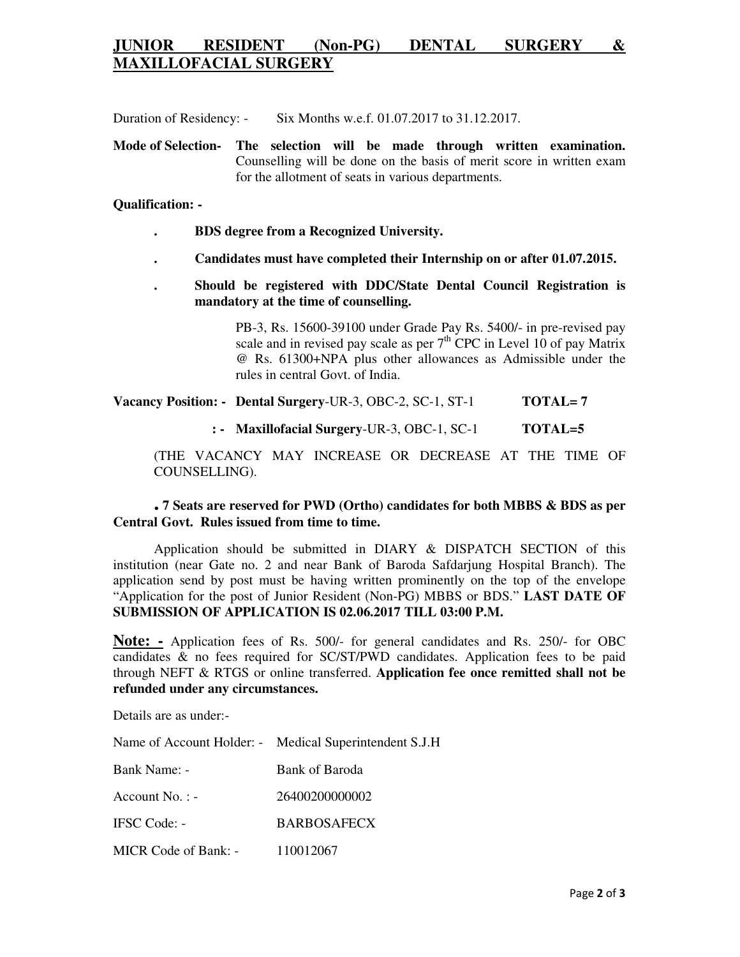# **JUNIOR RESIDENT (Non-PG) DENTAL SURGERY & MAXILLOFACIAL SURGERY**

Duration of Residency: - Six Months w.e.f. 01.07.2017 to 31.12.2017.

**Mode of Selection- The selection will be made through written examination.**  Counselling will be done on the basis of merit score in written exam for the allotment of seats in various departments.

#### **Qualification: -**

- **. BDS degree from a Recognized University.**
- **. Candidates must have completed their Internship on or after 01.07.2015.**
- **. Should be registered with DDC/State Dental Council Registration is mandatory at the time of counselling.**

PB-3, Rs. 15600-39100 under Grade Pay Rs. 5400/- in pre-revised pay scale and in revised pay scale as per  $7<sup>th</sup>$  CPC in Level 10 of pay Matrix @ Rs. 61300+NPA plus other allowances as Admissible under the rules in central Govt. of India.

**Vacancy Position: - Dental Surgery**-UR-3, OBC-2, SC-1, ST-1 **TOTAL= 7** 

**: - Maxillofacial Surgery**-UR-3, OBC-1, SC-1 **TOTAL=5** 

(THE VACANCY MAY INCREASE OR DECREASE AT THE TIME OF COUNSELLING).

## **. 7 Seats are reserved for PWD (Ortho) candidates for both MBBS & BDS as per Central Govt. Rules issued from time to time.**

Application should be submitted in DIARY & DISPATCH SECTION of this institution (near Gate no. 2 and near Bank of Baroda Safdarjung Hospital Branch). The application send by post must be having written prominently on the top of the envelope "Application for the post of Junior Resident (Non-PG) MBBS or BDS." **LAST DATE OF SUBMISSION OF APPLICATION IS 02.06.2017 TILL 03:00 P.M.**

**Note: -** Application fees of Rs. 500/- for general candidates and Rs. 250/- for OBC candidates & no fees required for SC/ST/PWD candidates. Application fees to be paid through NEFT & RTGS or online transferred. **Application fee once remitted shall not be refunded under any circumstances.** 

Details are as under:-

Name of Account Holder: - Medical Superintendent S.J.H

| Bank Name: - | Bank of Baroda |
|--------------|----------------|
|              |                |

| Account No. : - | 26400200000002 |
|-----------------|----------------|
|                 |                |

IFSC Code: - BARBOSAFECX

MICR Code of Bank: - 110012067